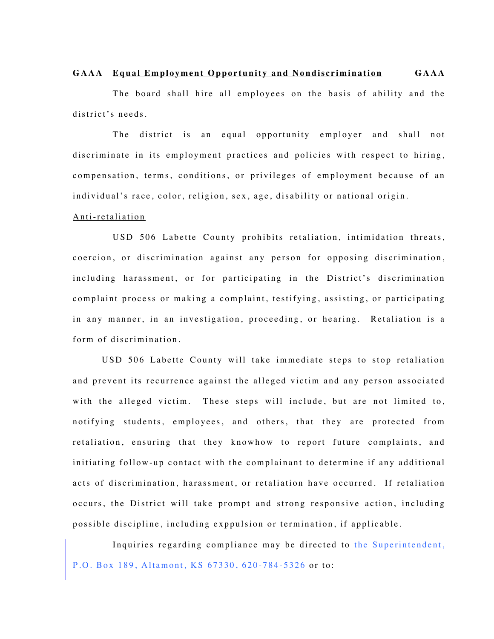## **GAAA Equal Employment Opportunity and Nondiscrimination GAAA**

The board shall hire all employees on the basis of ability and the district's needs.

The district is an equal opportunity employer and shall not discriminate in its employment practices and policies with respect to hiring, compensation, terms, conditions, or privileges of employment because of an individual's race, color, religion, sex, age, disability or national origin.

## Anti-retaliation

USD 506 Labette County prohibits retaliation, intimidation threats, coercion, or discrimination against any person for opposing discrimination, including harassment, or for participating in the District's discrimination complaint process or making a complaint, testifying, assisting, or participating in any manner, in an investigation, proceeding, or hearing. Retaliation is a form of discrimination.

USD 506 Labette County will take immediate steps to stop retaliation and prevent its recurrence against the alleged victim and any person associated with the alleged victim. These steps will include, but are not limited to, notifying students, employees, and others, that they are protected from retaliation, ensuring that they knowhow to report future complaints, and initiating follow-up contact with the complainant to determine if any additional acts of discrimination, harassment, or retaliation have occurred. If retaliation occurs, the District will take prompt and strong responsive action, including possible discipline, including exppulsion or termination, if applicable.

Inquiries regarding compliance may be directed to the Superintendent, P.O. Box 189, Altamont, KS 67330, 620-784-5326 or to: